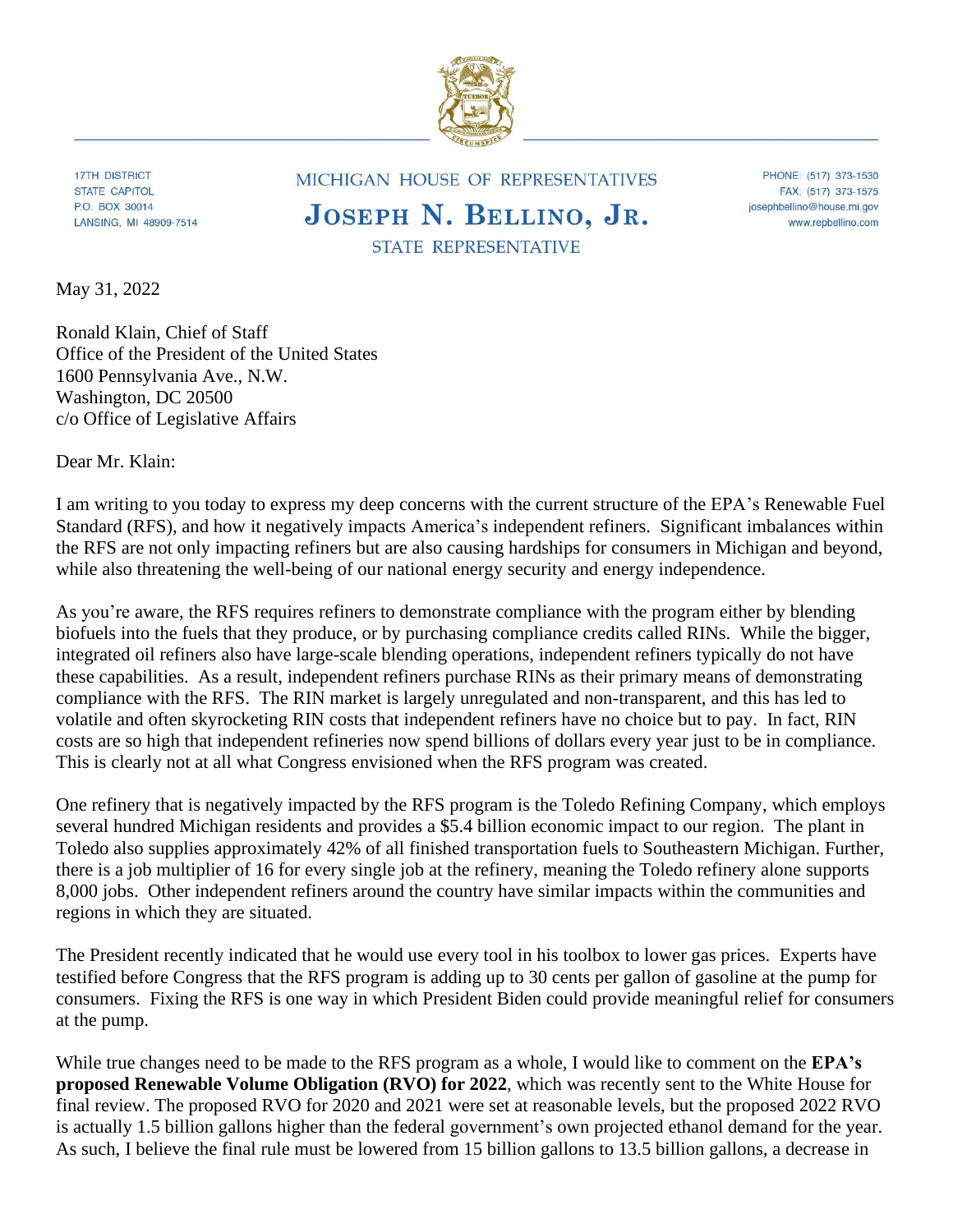

**17TH DISTRICT STATE CAPITOL** P.O. BOX 30014 LANSING, MI 48909-7514

## MICHIGAN HOUSE OF REPRESENTATIVES JOSEPH N. BELLINO, JR.

PHONE: (517) 373-1530 FAX: (517) 373-1575 josephbellino@house.mi.gov www.repbellino.com

**STATE REPRESENTATIVE** 

May 31, 2022

Ronald Klain, Chief of Staff Office of the President of the United States 1600 Pennsylvania Ave., N.W. Washington, DC 20500 c/o Office of Legislative Affairs

Dear Mr. Klain:

I am writing to you today to express my deep concerns with the current structure of the EPA's Renewable Fuel Standard (RFS), and how it negatively impacts America's independent refiners. Significant imbalances within the RFS are not only impacting refiners but are also causing hardships for consumers in Michigan and beyond, while also threatening the well-being of our national energy security and energy independence.

As you're aware, the RFS requires refiners to demonstrate compliance with the program either by blending biofuels into the fuels that they produce, or by purchasing compliance credits called RINs. While the bigger, integrated oil refiners also have large-scale blending operations, independent refiners typically do not have these capabilities. As a result, independent refiners purchase RINs as their primary means of demonstrating compliance with the RFS. The RIN market is largely unregulated and non-transparent, and this has led to volatile and often skyrocketing RIN costs that independent refiners have no choice but to pay. In fact, RIN costs are so high that independent refineries now spend billions of dollars every year just to be in compliance. This is clearly not at all what Congress envisioned when the RFS program was created.

One refinery that is negatively impacted by the RFS program is the Toledo Refining Company, which employs several hundred Michigan residents and provides a \$5.4 billion economic impact to our region. The plant in Toledo also supplies approximately 42% of all finished transportation fuels to Southeastern Michigan. Further, there is a job multiplier of 16 for every single job at the refinery, meaning the Toledo refinery alone supports 8,000 jobs. Other independent refiners around the country have similar impacts within the communities and regions in which they are situated.

The President recently indicated that he would use every tool in his toolbox to lower gas prices. Experts have testified before Congress that the RFS program is adding up to 30 cents per gallon of gasoline at the pump for consumers. Fixing the RFS is one way in which President Biden could provide meaningful relief for consumers at the pump.

While true changes need to be made to the RFS program as a whole, I would like to comment on the **EPA's proposed Renewable Volume Obligation (RVO) for 2022**, which was recently sent to the White House for final review. The proposed RVO for 2020 and 2021 were set at reasonable levels, but the proposed 2022 RVO is actually 1.5 billion gallons higher than the federal government's own projected ethanol demand for the year. As such, I believe the final rule must be lowered from 15 billion gallons to 13.5 billion gallons, a decrease in